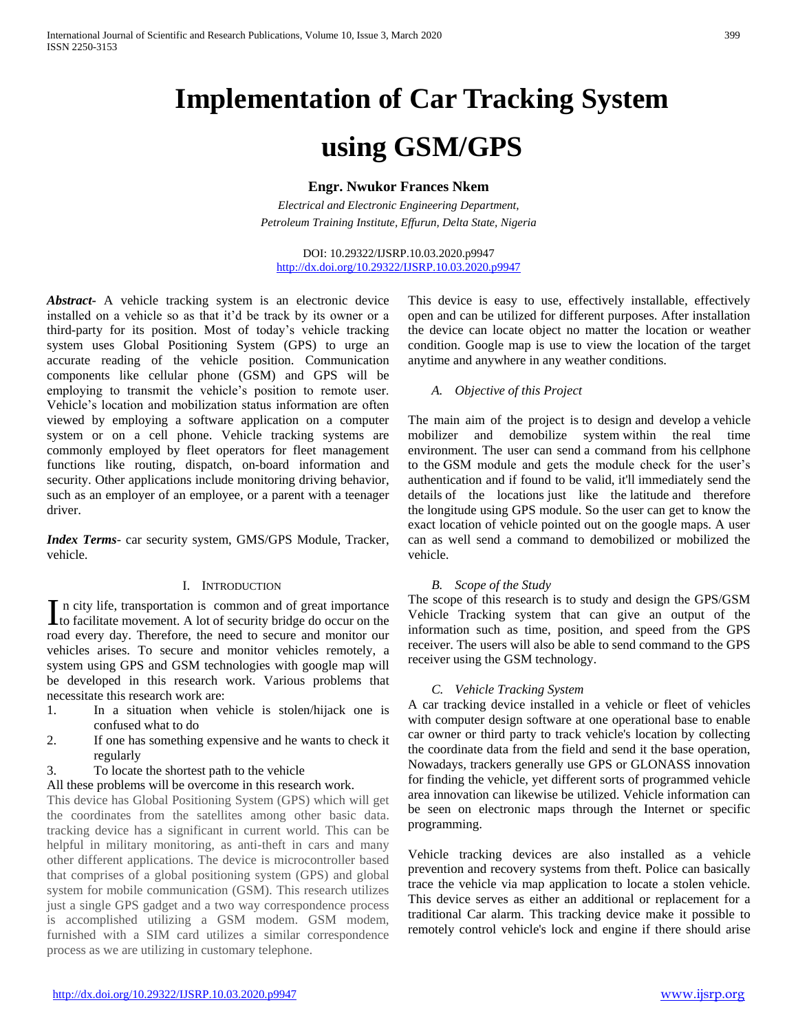# **Implementation of Car Tracking System**

# **using GSM/GPS**

**Engr. Nwukor Frances Nkem**

*Electrical and Electronic Engineering Department, Petroleum Training Institute, Effurun, Delta State, Nigeria*

DOI: 10.29322/IJSRP.10.03.2020.p9947 <http://dx.doi.org/10.29322/IJSRP.10.03.2020.p9947>

*Abstract***-** A vehicle tracking system is an electronic device installed on a vehicle so as that it'd be track by its owner or a third-party for its position. Most of today's vehicle tracking system uses Global Positioning System (GPS) to urge an accurate reading of the vehicle position. Communication components like cellular phone (GSM) and GPS will be employing to transmit the vehicle's position to remote user. Vehicle's location and mobilization status information are often viewed by employing a software application on a computer system or on a cell phone. Vehicle tracking systems are commonly employed by fleet operators for fleet management functions like routing, dispatch, on-board information and security. Other applications include monitoring driving behavior, such as an employer of an employee, or a parent with a teenager driver.

*Index Terms*- car security system, GMS/GPS Module, Tracker, vehicle.

#### I. INTRODUCTION

n city life, transportation is common and of great importance In city life, transportation is common and of great importance<br>to facilitate movement. A lot of security bridge do occur on the road every day. Therefore, the need to secure and monitor our vehicles arises. To secure and monitor vehicles remotely, a system using GPS and GSM technologies with google map will be developed in this research work. Various problems that necessitate this research work are:

- 1. In a situation when vehicle is stolen/hijack one is confused what to do
- 2. If one has something expensive and he wants to check it regularly
- 3. To locate the shortest path to the vehicle
- All these problems will be overcome in this research work.

This device has Global Positioning System (GPS) which will get the coordinates from the satellites among other basic data. tracking device has a significant in current world. This can be helpful in military monitoring, as anti-theft in cars and many other different applications. The device is microcontroller based that comprises of a global positioning system (GPS) and global system for mobile communication (GSM). This research utilizes just a single GPS gadget and a two way correspondence process is accomplished utilizing a GSM modem. GSM modem, furnished with a SIM card utilizes a similar correspondence process as we are utilizing in customary telephone.

This device is easy to use, effectively installable, effectively open and can be utilized for different purposes. After installation the device can locate object no matter the location or weather condition. Google map is use to view the location of the target anytime and anywhere in any weather conditions.

#### *A. Objective of this Project*

The main aim of the project is to design and develop a vehicle mobilizer and demobilize system within the real time environment. The user can send a command from his cellphone to the GSM module and gets the module check for the user's authentication and if found to be valid, it'll immediately send the details of the locations just like the latitude and therefore the longitude using GPS module. So the user can get to know the exact location of vehicle pointed out on the google maps. A user can as well send a command to demobilized or mobilized the vehicle.

#### *B. Scope of the Study*

The scope of this research is to study and design the GPS/GSM Vehicle Tracking system that can give an output of the information such as time, position, and speed from the GPS receiver. The users will also be able to send command to the GPS receiver using the GSM technology.

#### *C. Vehicle Tracking System*

A car tracking device installed in a vehicle or fleet of vehicles with computer design software at one operational base to enable car owner or third party to track vehicle's location by collecting the coordinate data from the field and send it the base operation, Nowadays, trackers generally use GPS or GLONASS innovation for finding the vehicle, yet different sorts of programmed vehicle area innovation can likewise be utilized. Vehicle information can be seen on electronic maps through the Internet or specific programming.

Vehicle tracking devices are also installed as a vehicle prevention and recovery systems from theft. Police can basically trace the vehicle via map application to locate a stolen vehicle. This device serves as either an additional or replacement for a traditional Car alarm. This tracking device make it possible to remotely control vehicle's lock and engine if there should arise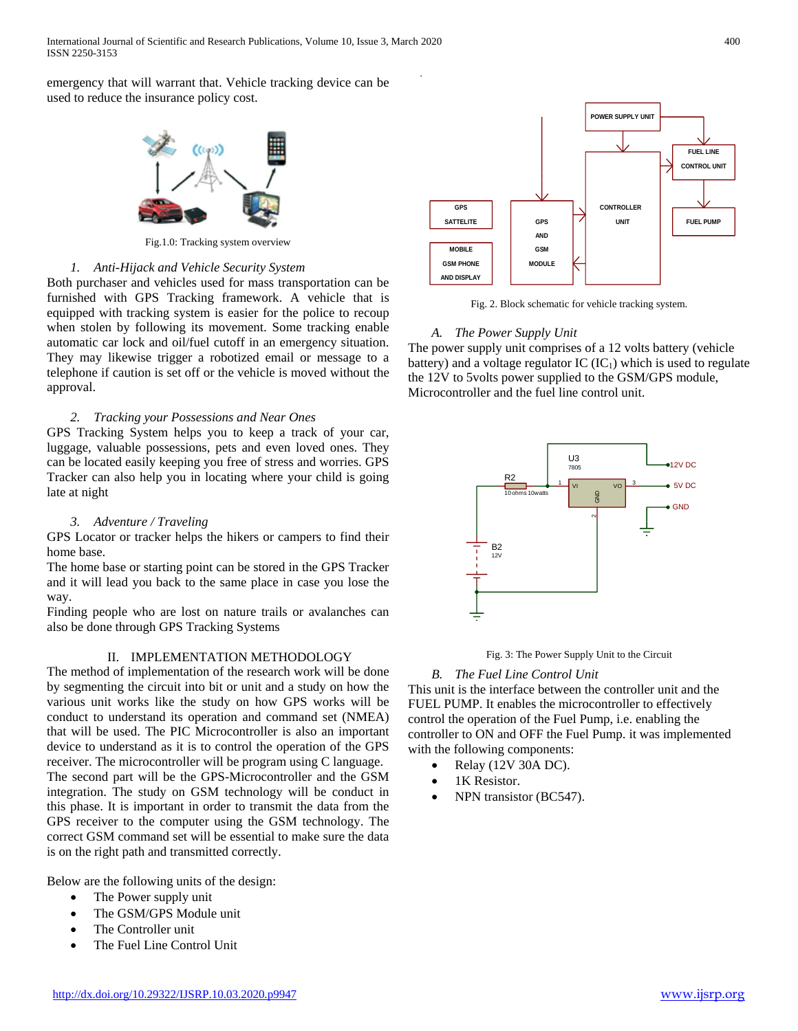emergency that will warrant that. Vehicle tracking device can be used to reduce the insurance policy cost.



Fig.1.0: Tracking system overview

#### *1. Anti-Hijack and Vehicle Security System*

Both purchaser and vehicles used for mass transportation can be furnished with GPS Tracking framework. A vehicle that is equipped with tracking system is easier for the police to recoup when stolen by following its movement. Some tracking enable automatic car lock and oil/fuel cutoff in an emergency situation. They may likewise trigger a robotized email or message to a telephone if caution is set off or the vehicle is moved without the approval.

# *2. Tracking your Possessions and Near Ones*

GPS Tracking System helps you to keep a track of your car, luggage, valuable possessions, pets and even loved ones. They can be located easily keeping you free of stress and worries. GPS Tracker can also help you in locating where your child is going late at night

### *3. Adventure / Traveling*

GPS Locator or tracker helps the hikers or campers to find their home base.

The home base or starting point can be stored in the GPS Tracker and it will lead you back to the same place in case you lose the way.

Finding people who are lost on nature trails or avalanches can also be done through GPS Tracking Systems

#### II. IMPLEMENTATION METHODOLOGY

The method of implementation of the research work will be done by segmenting the circuit into bit or unit and a study on how the various unit works like the study on how GPS works will be conduct to understand its operation and command set (NMEA) that will be used. The PIC Microcontroller is also an important device to understand as it is to control the operation of the GPS receiver. The microcontroller will be program using C language. The second part will be the GPS-Microcontroller and the GSM integration. The study on GSM technology will be conduct in this phase. It is important in order to transmit the data from the GPS receiver to the computer using the GSM technology. The correct GSM command set will be essential to make sure the data is on the right path and transmitted correctly.

Below are the following units of the design:

- The Power supply unit
	- The GSM/GPS Module unit
	- The Controller unit
	- The Fuel Line Control Unit



Fig. 2. Block schematic for vehicle tracking system.

# *A. The Power Supply Unit*

The power supply unit comprises of a 12 volts battery (vehicle battery) and a voltage regulator  $IC (IC<sub>1</sub>)$  which is used to regulate the 12V to 5volts power supplied to the GSM/GPS module, Microcontroller and the fuel line control unit.



Fig. 3: The Power Supply Unit to the Circuit

# *B. The Fuel Line Control Unit*

This unit is the interface between the controller unit and the FUEL PUMP. It enables the microcontroller to effectively control the operation of the Fuel Pump, i.e. enabling the controller to ON and OFF the Fuel Pump. it was implemented with the following components:

- Relay (12V 30A DC).
- 1K Resistor.
- NPN transistor (BC547).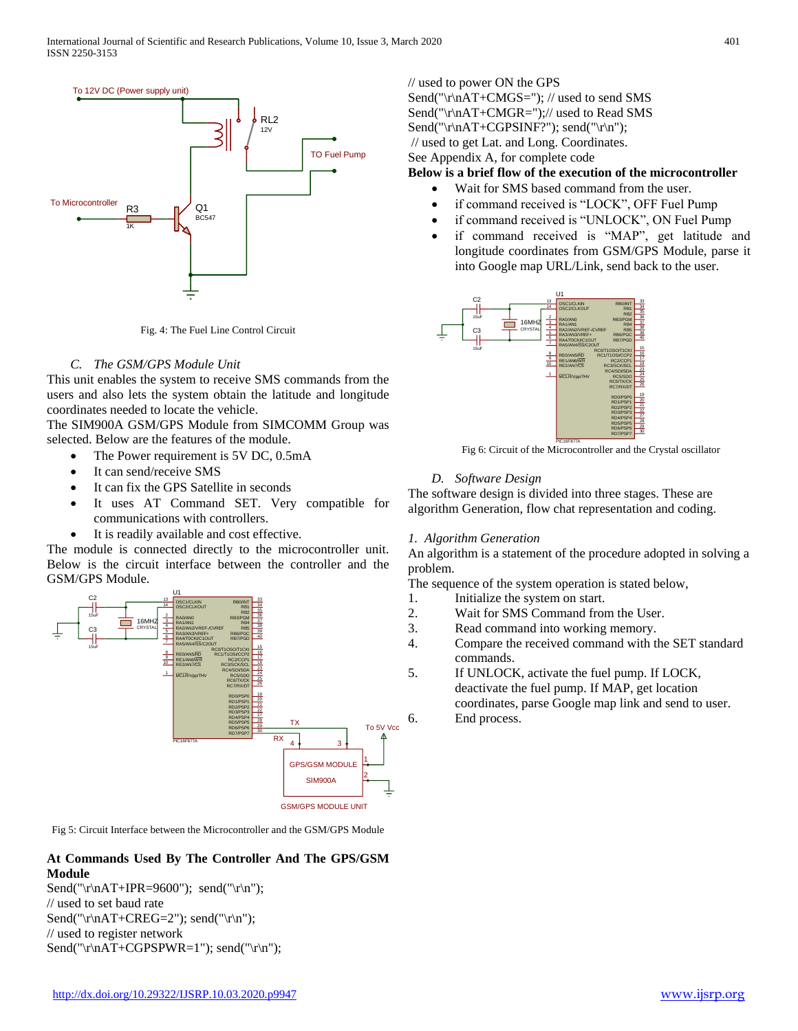

Fig. 4: The Fuel Line Control Circuit

# *C. The GSM/GPS Module Unit*

This unit enables the system to receive SMS commands from the users and also lets the system obtain the latitude and longitude coordinates needed to locate the vehicle.

The SIM900A GSM/GPS Module from SIMCOMM Group was selected. Below are the features of the module.

- The Power requirement is 5V DC, 0.5mA
- It can send/receive SMS
- It can fix the GPS Satellite in seconds
- It uses AT Command SET. Very compatible for communications with controllers.
- It is readily available and cost effective.

The module is connected directly to the microcontroller unit. Below is the circuit interface between the controller and the GSM/GPS Module.



Fig 5: Circuit Interface between the Microcontroller and the GSM/GPS Module

# **At Commands Used By The Controller And The GPS/GSM Module**

Send("\r\nAT+IPR=9600"); send("\r\n"); // used to set baud rate Send("\r\nAT+CREG=2"); send("\r\n"); // used to register network Send("\r\nAT+CGPSPWR=1"); send("\r\n"); // used to power ON the GPS

Send("\r\nAT+CMGS="); // used to send SMS Send("\r\nAT+CMGR=");// used to Read SMS Send("\r\nAT+CGPSINF?"); send("\r\n"); // used to get Lat. and Long. Coordinates.

See Appendix A, for complete code

# **Below is a brief flow of the execution of the microcontroller**

- Wait for SMS based command from the user.
- if command received is "LOCK", OFF Fuel Pump
- if command received is "UNLOCK", ON Fuel Pump
- if command received is "MAP", get latitude and longitude coordinates from GSM/GPS Module, parse it into Google map URL/Link, send back to the user.



Fig 6: Circuit of the Microcontroller and the Crystal oscillator

# *D. Software Design*

The software design is divided into three stages. These are algorithm Generation, flow chat representation and coding.

#### *1. Algorithm Generation*

An algorithm is a statement of the procedure adopted in solving a problem.

The sequence of the system operation is stated below,

- 1. Initialize the system on start.
- 2. Wait for SMS Command from the User.
- 3. Read command into working memory.
- 4. Compare the received command with the SET standard commands.
- 5. If UNLOCK, activate the fuel pump. If LOCK, deactivate the fuel pump. If MAP, get location coordinates, parse Google map link and send to user. 6. End process.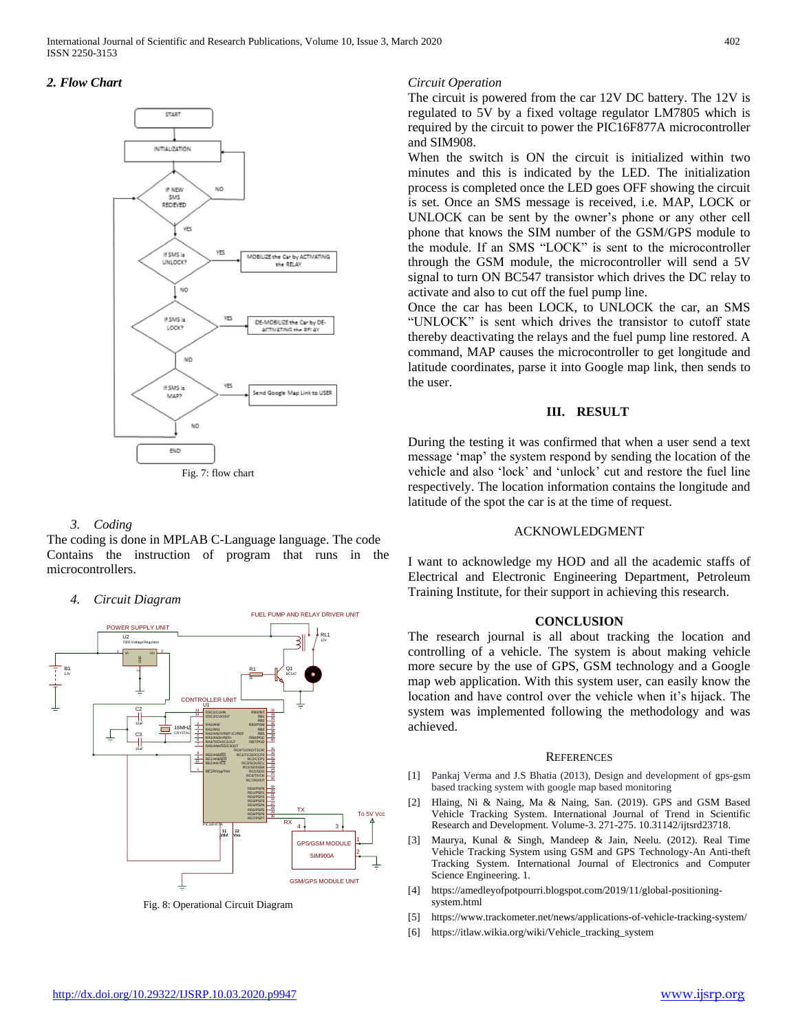International Journal of Scientific and Research Publications, Volume 10, Issue 3, March 2020 402 ISSN 2250-3153

#### *2. Flow Chart*



#### *3. Coding*

The coding is done in MPLAB C-Language language. The code Contains the instruction of program that runs in the microcontrollers.

#### *4. Circuit Diagram*



Fig. 8: Operational Circuit Diagram

#### *Circuit Operation*

The circuit is powered from the car 12V DC battery. The 12V is regulated to 5V by a fixed voltage regulator LM7805 which is required by the circuit to power the PIC16F877A microcontroller and SIM908.

When the switch is ON the circuit is initialized within two minutes and this is indicated by the LED. The initialization process is completed once the LED goes OFF showing the circuit is set. Once an SMS message is received, i.e. MAP, LOCK or UNLOCK can be sent by the owner's phone or any other cell phone that knows the SIM number of the GSM/GPS module to the module. If an SMS "LOCK" is sent to the microcontroller through the GSM module, the microcontroller will send a 5V signal to turn ON BC547 transistor which drives the DC relay to activate and also to cut off the fuel pump line.

Once the car has been LOCK, to UNLOCK the car, an SMS "UNLOCK" is sent which drives the transistor to cutoff state thereby deactivating the relays and the fuel pump line restored. A command, MAP causes the microcontroller to get longitude and latitude coordinates, parse it into Google map link, then sends to the user.

#### **III. RESULT**

During the testing it was confirmed that when a user send a text message 'map' the system respond by sending the location of the vehicle and also 'lock' and 'unlock' cut and restore the fuel line respectively. The location information contains the longitude and latitude of the spot the car is at the time of request.

#### ACKNOWLEDGMENT

I want to acknowledge my HOD and all the academic staffs of Electrical and Electronic Engineering Department, Petroleum Training Institute, for their support in achieving this research.

#### **CONCLUSION**

The research journal is all about tracking the location and controlling of a vehicle. The system is about making vehicle more secure by the use of GPS, GSM technology and a Google map web application. With this system user, can easily know the location and have control over the vehicle when it's hijack. The system was implemented following the methodology and was achieved.

#### **REFERENCES**

- [1] Pankaj Verma and J.S Bhatia (2013), Design and development of gps-gsm based tracking system with google map based monitoring
- [2] Hlaing, Ni & Naing, Ma & Naing, San. (2019). GPS and GSM Based Vehicle Tracking System. International Journal of Trend in Scientific Research and Development. Volume-3. 271-275. 10.31142/ijtsrd23718.
- [3] Maurya, Kunal & Singh, Mandeep & Jain, Neelu. (2012). Real Time Vehicle Tracking System using GSM and GPS Technology-An Anti-theft Tracking System. International Journal of Electronics and Computer Science Engineering. 1.
- [4] https://amedleyofpotpourri.blogspot.com/2019/11/global-positioningsystem.html
- [5] <https://www.trackometer.net/news/applications-of-vehicle-tracking-system/>
- [6] https://itlaw.wikia.org/wiki/Vehicle\_tracking\_system